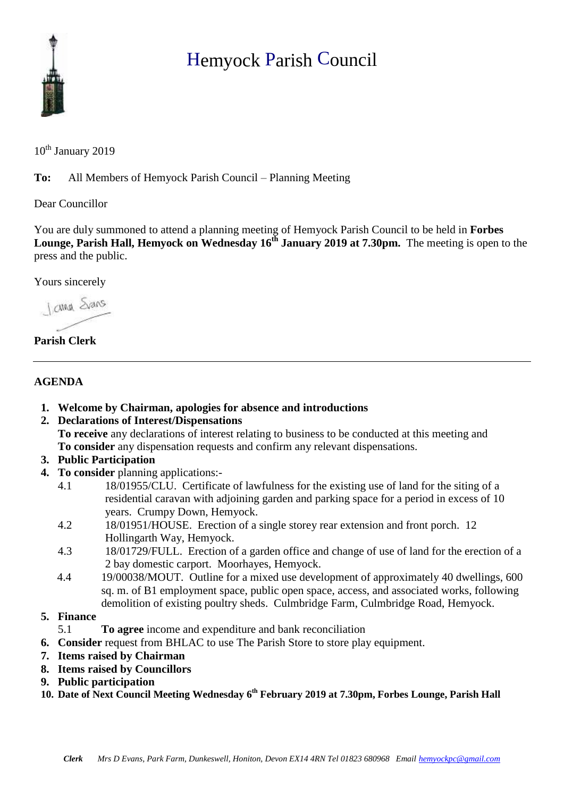# Hemyock Parish Council



10<sup>th</sup> January 2019

## **To:** All Members of Hemyock Parish Council – Planning Meeting

### Dear Councillor

You are duly summoned to attend a planning meeting of Hemyock Parish Council to be held in **Forbes Lounge, Parish Hall, Hemyock on Wednesday 16th January 2019 at 7.30pm.** The meeting is open to the press and the public.

Yours sincerely

Jama Stars

**Parish Clerk**

## **AGENDA**

- **1. Welcome by Chairman, apologies for absence and introductions**
- **2. Declarations of Interest/Dispensations**

**To receive** any declarations of interest relating to business to be conducted at this meeting and **To consider** any dispensation requests and confirm any relevant dispensations.

- **3. Public Participation**
- **4. To consider** planning applications:-
	- 4.1 18/01955/CLU. Certificate of lawfulness for the existing use of land for the siting of a residential caravan with adjoining garden and parking space for a period in excess of 10 years. Crumpy Down, Hemyock.
	- 4.2 18/01951/HOUSE. Erection of a single storey rear extension and front porch. 12 Hollingarth Way, Hemyock.
	- 4.3 18/01729/FULL. Erection of a garden office and change of use of land for the erection of a 2 bay domestic carport. Moorhayes, Hemyock.
	- 4.4 19/00038/MOUT. Outline for a mixed use development of approximately 40 dwellings, 600 sq. m. of B1 employment space, public open space, access, and associated works, following demolition of existing poultry sheds. Culmbridge Farm, Culmbridge Road, Hemyock.

### **5. Finance**

- 5.1 **To agree** income and expenditure and bank reconciliation
- **6. Consider** request from BHLAC to use The Parish Store to store play equipment.
- **7. Items raised by Chairman**
- **8. Items raised by Councillors**
- **9. Public participation**
- **10. Date of Next Council Meeting Wednesday 6th February 2019 at 7.30pm, Forbes Lounge, Parish Hall**